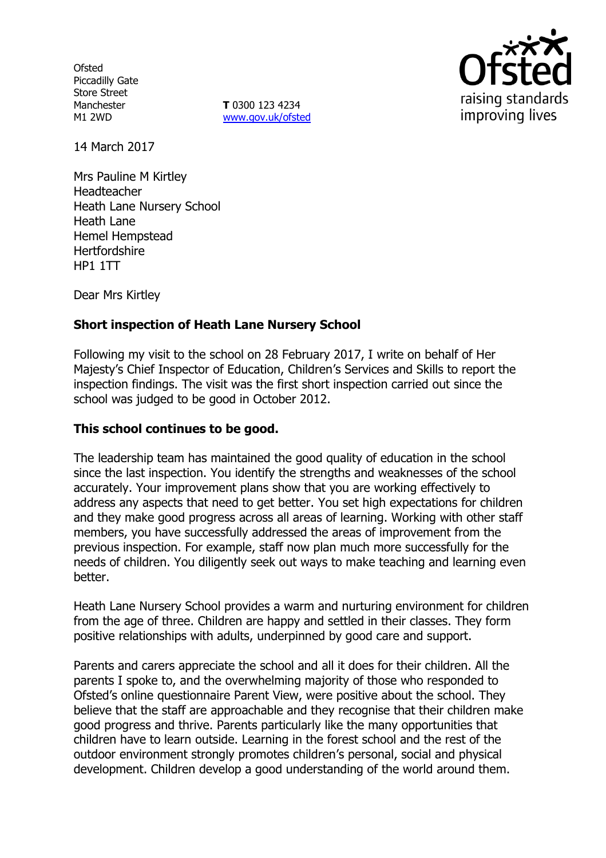**Ofsted** Piccadilly Gate Store Street Manchester M1 2WD

**T** 0300 123 4234 www.gov.uk/ofsted



14 March 2017

Mrs Pauline M Kirtley Headteacher Heath Lane Nursery School Heath Lane Hemel Hempstead **Hertfordshire** HP1 1TT

Dear Mrs Kirtley

## **Short inspection of Heath Lane Nursery School**

Following my visit to the school on 28 February 2017, I write on behalf of Her Majesty's Chief Inspector of Education, Children's Services and Skills to report the inspection findings. The visit was the first short inspection carried out since the school was judged to be good in October 2012.

#### **This school continues to be good.**

The leadership team has maintained the good quality of education in the school since the last inspection. You identify the strengths and weaknesses of the school accurately. Your improvement plans show that you are working effectively to address any aspects that need to get better. You set high expectations for children and they make good progress across all areas of learning. Working with other staff members, you have successfully addressed the areas of improvement from the previous inspection. For example, staff now plan much more successfully for the needs of children. You diligently seek out ways to make teaching and learning even better.

Heath Lane Nursery School provides a warm and nurturing environment for children from the age of three. Children are happy and settled in their classes. They form positive relationships with adults, underpinned by good care and support.

Parents and carers appreciate the school and all it does for their children. All the parents I spoke to, and the overwhelming majority of those who responded to Ofsted's online questionnaire Parent View, were positive about the school. They believe that the staff are approachable and they recognise that their children make good progress and thrive. Parents particularly like the many opportunities that children have to learn outside. Learning in the forest school and the rest of the outdoor environment strongly promotes children's personal, social and physical development. Children develop a good understanding of the world around them.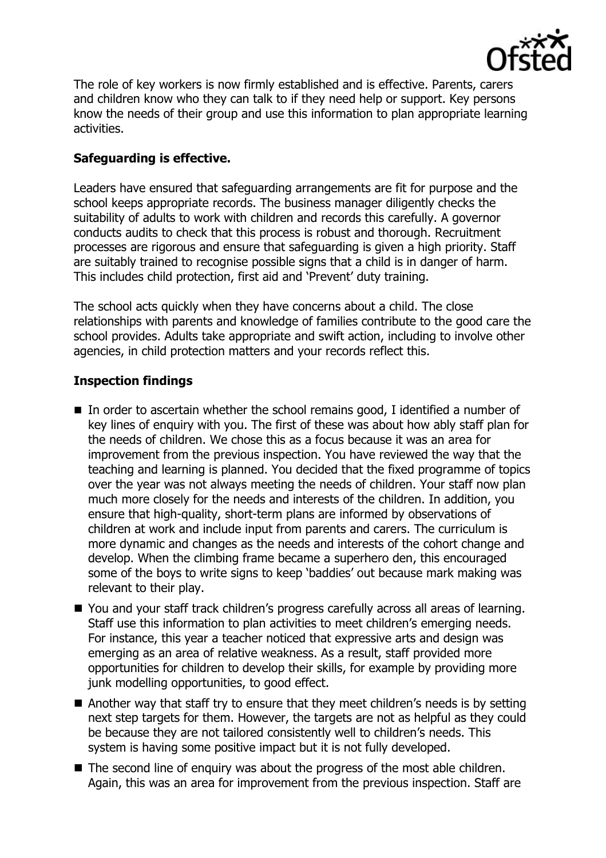

The role of key workers is now firmly established and is effective. Parents, carers and children know who they can talk to if they need help or support. Key persons know the needs of their group and use this information to plan appropriate learning activities.

# **Safeguarding is effective.**

Leaders have ensured that safeguarding arrangements are fit for purpose and the school keeps appropriate records. The business manager diligently checks the suitability of adults to work with children and records this carefully. A governor conducts audits to check that this process is robust and thorough. Recruitment processes are rigorous and ensure that safeguarding is given a high priority. Staff are suitably trained to recognise possible signs that a child is in danger of harm. This includes child protection, first aid and 'Prevent' duty training.

The school acts quickly when they have concerns about a child. The close relationships with parents and knowledge of families contribute to the good care the school provides. Adults take appropriate and swift action, including to involve other agencies, in child protection matters and your records reflect this.

## **Inspection findings**

- In order to ascertain whether the school remains good, I identified a number of key lines of enquiry with you. The first of these was about how ably staff plan for the needs of children. We chose this as a focus because it was an area for improvement from the previous inspection. You have reviewed the way that the teaching and learning is planned. You decided that the fixed programme of topics over the year was not always meeting the needs of children. Your staff now plan much more closely for the needs and interests of the children. In addition, you ensure that high-quality, short-term plans are informed by observations of children at work and include input from parents and carers. The curriculum is more dynamic and changes as the needs and interests of the cohort change and develop. When the climbing frame became a superhero den, this encouraged some of the boys to write signs to keep 'baddies' out because mark making was relevant to their play.
- You and your staff track children's progress carefully across all areas of learning. Staff use this information to plan activities to meet children's emerging needs. For instance, this year a teacher noticed that expressive arts and design was emerging as an area of relative weakness. As a result, staff provided more opportunities for children to develop their skills, for example by providing more junk modelling opportunities, to good effect.
- Another way that staff try to ensure that they meet children's needs is by setting next step targets for them. However, the targets are not as helpful as they could be because they are not tailored consistently well to children's needs. This system is having some positive impact but it is not fully developed.
- The second line of enquiry was about the progress of the most able children. Again, this was an area for improvement from the previous inspection. Staff are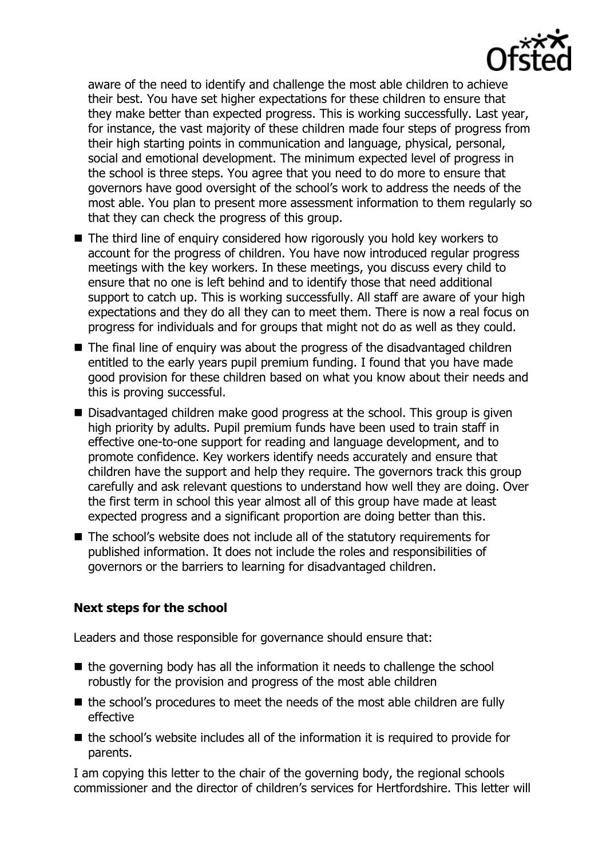

aware of the need to identify and challenge the most able children to achieve their best. You have set higher expectations for these children to ensure that they make better than expected progress. This is working successfully. Last year, for instance, the vast majority of these children made four steps of progress from their high starting points in communication and language, physical, personal, social and emotional development. The minimum expected level of progress in the school is three steps. You agree that you need to do more to ensure that governors have good oversight of the school's work to address the needs of the most able. You plan to present more assessment information to them regularly so that they can check the progress of this group.

- The third line of enquiry considered how rigorously you hold key workers to account for the progress of children. You have now introduced regular progress meetings with the key workers. In these meetings, you discuss every child to ensure that no one is left behind and to identify those that need additional support to catch up. This is working successfully. All staff are aware of your high expectations and they do all they can to meet them. There is now a real focus on progress for individuals and for groups that might not do as well as they could.
- The final line of enquiry was about the progress of the disadvantaged children entitled to the early years pupil premium funding. I found that you have made good provision for these children based on what you know about their needs and this is proving successful.
- Disadvantaged children make good progress at the school. This group is given high priority by adults. Pupil premium funds have been used to train staff in effective one-to-one support for reading and language development, and to promote confidence. Key workers identify needs accurately and ensure that children have the support and help they require. The governors track this group carefully and ask relevant questions to understand how well they are doing. Over the first term in school this year almost all of this group have made at least expected progress and a significant proportion are doing better than this.
- The school's website does not include all of the statutory requirements for published information. It does not include the roles and responsibilities of governors or the barriers to learning for disadvantaged children.

# **Next steps for the school**

Leaders and those responsible for governance should ensure that:

- $\blacksquare$  the governing body has all the information it needs to challenge the school robustly for the provision and progress of the most able children
- $\blacksquare$  the school's procedures to meet the needs of the most able children are fully effective
- $\blacksquare$  the school's website includes all of the information it is required to provide for parents.

I am copying this letter to the chair of the governing body, the regional schools commissioner and the director of children's services for Hertfordshire. This letter will